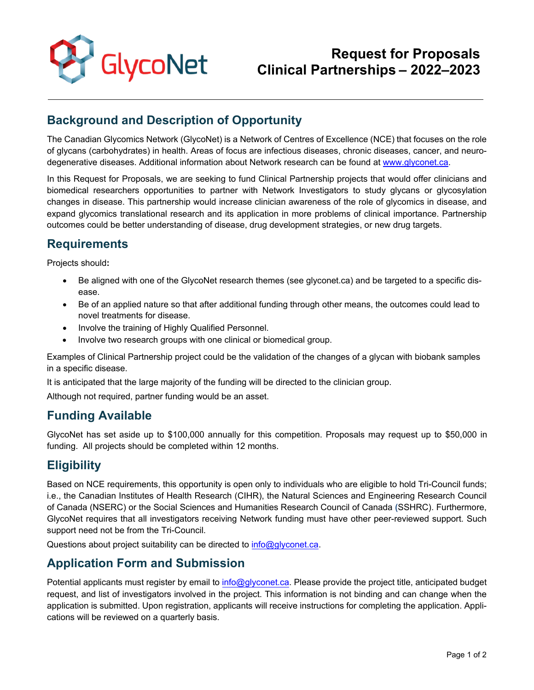

# **Request for Proposals Clinical Partnerships – 2022–2023**

## **Background and Description of Opportunity**

The Canadian Glycomics Network (GlycoNet) is a Network of Centres of Excellence (NCE) that focuses on the role of glycans (carbohydrates) in health. Areas of focus are infectious diseases, chronic diseases, cancer, and neurodegenerative diseases. Additional information about Network research can be found at [www.glyconet.ca.](http://www.glyconet.ca/)

In this Request for Proposals, we are seeking to fund Clinical Partnership projects that would offer clinicians and biomedical researchers opportunities to partner with Network Investigators to study glycans or glycosylation changes in disease. This partnership would increase clinician awareness of the role of glycomics in disease, and expand glycomics translational research and its application in more problems of clinical importance. Partnership outcomes could be better understanding of disease, drug development strategies, or new drug targets.

### **Requirements**

Projects should**:** 

- Be aligned with one of the GlycoNet research themes (see glyconet.ca) and be targeted to a specific disease.
- Be of an applied nature so that after additional funding through other means, the outcomes could lead to novel treatments for disease.
- Involve the training of Highly Qualified Personnel.
- Involve two research groups with one clinical or biomedical group.

Examples of Clinical Partnership project could be the validation of the changes of a glycan with biobank samples in a specific disease.

It is anticipated that the large majority of the funding will be directed to the clinician group.

Although not required, partner funding would be an asset.

#### **Funding Available**

GlycoNet has set aside up to \$100,000 annually for this competition. Proposals may request up to \$50,000 in funding. All projects should be completed within 12 months.

#### **Eligibility**

Based on NCE requirements, this opportunity is open only to individuals who are eligible to hold Tri-Council funds; i.e., the Canadian Institutes of Health Research (CIHR), the Natural Sciences and Engineering Research Council of Canada (NSERC) or the Social Sciences and Humanities Research Council of Canada **(**SSHRC). Furthermore, GlycoNet requires that all investigators receiving Network funding must have other peer-reviewed support. Such support need not be from the Tri-Council.

Questions about project suitability can be directed to [info@glyconet.ca.](mailto:info@glyconet.ca)

### **Application Form and Submission**

Potential applicants must register by email t[o info@glyconet.ca.](mailto:info@glyconet.ca) Please provide the project title, anticipated budget request, and list of investigators involved in the project. This information is not binding and can change when the application is submitted. Upon registration, applicants will receive instructions for completing the application. Applications will be reviewed on a quarterly basis.